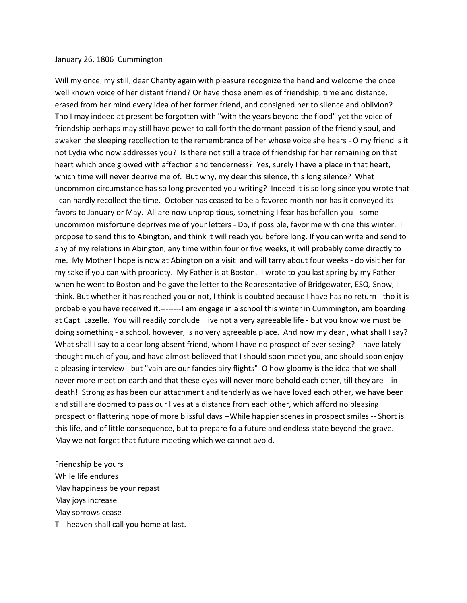## January 26, 1806 Cummington

Will my once, my still, dear Charity again with pleasure recognize the hand and welcome the once well known voice of her distant friend? Or have those enemies of friendship, time and distance, erased from her mind every idea of her former friend, and consigned her to silence and oblivion? Tho I may indeed at present be forgotten with "with the years beyond the flood" yet the voice of friendship perhaps may still have power to call forth the dormant passion of the friendly soul, and awaken the sleeping recollection to the remembrance of her whose voice she hears - O my friend is it not Lydia who now addresses you? Is there not still a trace of friendship for her remaining on that heart which once glowed with affection and tenderness? Yes, surely I have a place in that heart, which time will never deprive me of. But why, my dear this silence, this long silence? What uncommon circumstance has so long prevented you writing? Indeed it is so long since you wrote that I can hardly recollect the time. October has ceased to be a favored month nor has it conveyed its favors to January or May. All are now unpropitious, something I fear has befallen you - some uncommon misfortune deprives me of your letters - Do, if possible, favor me with one this winter. I propose to send this to Abington, and think it will reach you before long. If you can write and send to any of my relations in Abington, any time within four or five weeks, it will probably come directly to me. My Mother I hope is now at Abington on a visit and will tarry about four weeks - do visit her for my sake if you can with propriety. My Father is at Boston. I wrote to you last spring by my Father when he went to Boston and he gave the letter to the Representative of Bridgewater, ESQ. Snow, I think. But whether it has reached you or not, I think is doubted because I have has no return - tho it is probable you have received it.--------I am engage in a school this winter in Cummington, am boarding at Capt. Lazelle. You will readily conclude I live not a very agreeable life - but you know we must be doing something - a school, however, is no very agreeable place. And now my dear , what shall I say? What shall I say to a dear long absent friend, whom I have no prospect of ever seeing? I have lately thought much of you, and have almost believed that I should soon meet you, and should soon enjoy a pleasing interview - but "vain are our fancies airy flights" O how gloomy is the idea that we shall never more meet on earth and that these eyes will never more behold each other, till they are in death! Strong as has been our attachment and tenderly as we have loved each other, we have been and still are doomed to pass our lives at a distance from each other, which afford no pleasing prospect or flattering hope of more blissful days --While happier scenes in prospect smiles -- Short is this life, and of little consequence, but to prepare fo a future and endless state beyond the grave. May we not forget that future meeting which we cannot avoid.

Friendship be yours While life endures May happiness be your repast May joys increase May sorrows cease Till heaven shall call you home at last.